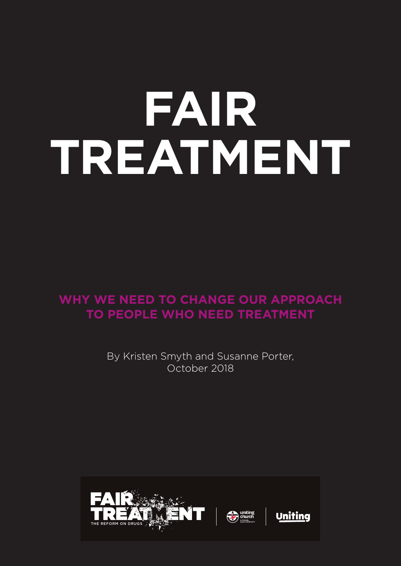# **FAIR TREATMENT**

**WHY WE NEED TO CHANGE OUR APPROACH PRIMARY TO PEOPLE WHO NEED TREATMENT** 

> By Kristen Smyth and Susanne Porter, October 2018

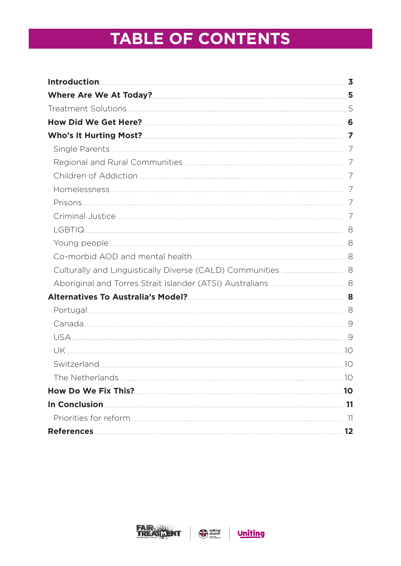# **TABLE OF CONTENTS**

| Where Are We At Today?<br>5                                                                                                                               |       |
|-----------------------------------------------------------------------------------------------------------------------------------------------------------|-------|
|                                                                                                                                                           |       |
| How Did We Get Here? 6                                                                                                                                    |       |
| Who's It Hurting Most? 7                                                                                                                                  |       |
|                                                                                                                                                           |       |
| Regional and Rural Communities <b>[2016]</b> Regional and Rural Communities <b>Algorithms</b>                                                             |       |
|                                                                                                                                                           |       |
|                                                                                                                                                           |       |
|                                                                                                                                                           |       |
| Criminal Justice 2008 - 2009 - 2010 - 2010 - 2010 - 2010 - 2010 - 2010 - 2010 - 2010 - 2010 - 2010 - 2010 - 20                                            |       |
| LGBTIQ 3                                                                                                                                                  |       |
|                                                                                                                                                           |       |
|                                                                                                                                                           |       |
|                                                                                                                                                           |       |
| Aboriginal and Torres Strait Islander (ATSI) Australians <b>Manual Aboriginal and Torres Strait Islander (ATSI</b> ) Australians <b>Manual Aboriginal</b> |       |
| Alternatives To Australia's Model?<br>8                                                                                                                   |       |
|                                                                                                                                                           |       |
|                                                                                                                                                           |       |
|                                                                                                                                                           |       |
|                                                                                                                                                           |       |
| Switzerland 10                                                                                                                                            |       |
| The Netherlands.                                                                                                                                          | 10    |
|                                                                                                                                                           | .10   |
| In Conclusion.                                                                                                                                            |       |
|                                                                                                                                                           |       |
|                                                                                                                                                           | $-12$ |



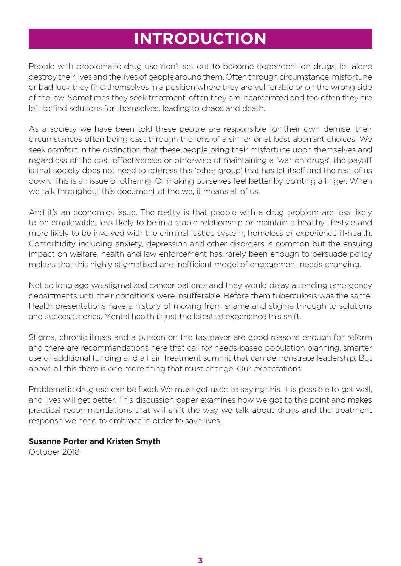# **INTRODUCTION**

People with problematic drug use don't set out to become dependent on drugs, let alone destroy their lives and the lives of people around them. Often through circumstance, misfortune or bad luck they find themselves in a position where they are vulnerable or on the wrong side of the law. Sometimes they seek treatment, often they are incarcerated and too often they are left to find solutions for themselves, leading to chaos and death.

As a society we have been told these people are responsible for their own demise, their circumstances often being cast through the lens of a sinner or at best aberrant choices. We seek comfort in the distinction that these people bring their misfortune upon themselves and regardless of the cost effectiveness or otherwise of maintaining a 'war on drugs', the payoff is that society does not need to address this 'other group' that has let itself and the rest of us down. This is an issue of othering. Of making ourselves feel better by pointing a finger. When we talk throughout this document of the we, it means all of us.

And it's an economics issue. The reality is that people with a drug problem are less likely to be employable, less likely to be in a stable relationship or maintain a healthy lifestyle and more likely to be involved with the criminal justice system, homeless or experience ill-health. Comorbidity including anxiety, depression and other disorders is common but the ensuing impact on welfare, health and law enforcement has rarely been enough to persuade policy makers that this highly stigmatised and inefficient model of engagement needs changing.

Not so long ago we stigmatised cancer patients and they would delay attending emergency departments until their conditions were insufferable. Before them tuberculosis was the same. Health presentations have a history of moving from shame and stigma through to solutions and success stories. Mental health is just the latest to experience this shift.

Stigma, chronic illness and a burden on the tax payer are good reasons enough for reform and there are recommendations here that call for needs-based population planning, smarter use of additional funding and a Fair Treatment summit that can demonstrate leadership. But above all this there is one more thing that must change. Our expectations.

Problematic drug use can be fixed. We must get used to saying this. It is possible to get well, and lives will get better. This discussion paper examines how we got to this point and makes practical recommendations that will shift the way we talk about drugs and the treatment response we need to embrace in order to save lives.

#### **Susanne Porter and Kristen Smyth**

October 2018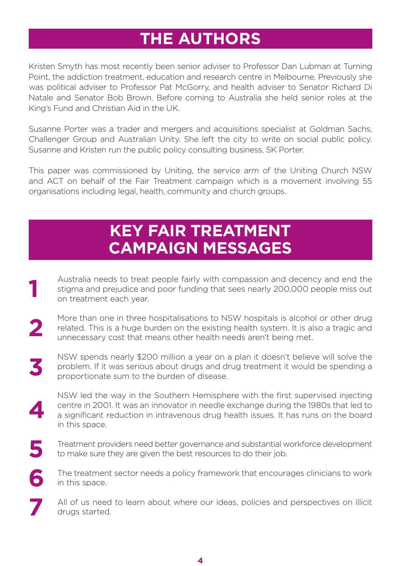# **THE AUTHORS**

Kristen Smyth has most recently been senior adviser to Professor Dan Lubman at Turning Point, the addiction treatment, education and research centre in Melbourne. Previously she was political adviser to Professor Pat McGorry, and health adviser to Senator Richard Di Natale and Senator Bob Brown. Before coming to Australia she held senior roles at the King's Fund and Christian Aid in the UK.

Susanne Porter was a trader and mergers and acquisitions specialist at Goldman Sachs, Challenger Group and Australian Unity. She left the city to write on social public policy. Susanne and Kristen run the public policy consulting business, SK Porter.

This paper was commissioned by Uniting, the service arm of the Uniting Church NSW and ACT on behalf of the Fair Treatment campaign which is a movement involving 55 organisations including legal, health, community and church groups.

# **KEY FAIR TREATMENT CAMPAIGN MESSAGES**

- Australia needs to treat people fairly with compassion and decency and end the stigma and prejudice and poor funding that sees nearly 200,000 people miss out on treatment each year. **1**
- More than one in three hospitalisations to NSW hospitals is alcohol or other drug related. This is a huge burden on the existing health system. It is also a tragic and unnecessary cost that means other health needs aren't being met. **2**
- NSW spends nearly \$200 million a year on a plan it doesn't believe will solve the problem. If it was serious about drugs and drug treatment it would be spending a proportionate sum to the burden of disease. **3**
- NSW led the way in the Southern Hemisphere with the first supervised injecting centre in 2001. It was an innovator in needle exchange during the 1980s that led to a significant reduction in intravenous drug health issues. It has runs on the board in this space. **4**
- Treatment providers need better governance and substantial workforce development to make sure they are given the best resources to do their job. **5**
- The treatment sector needs a policy framework that encourages clinicians to work in this space. **6**
- All of us need to learn about where our ideas, policies and perspectives on illicit drugs started. **7**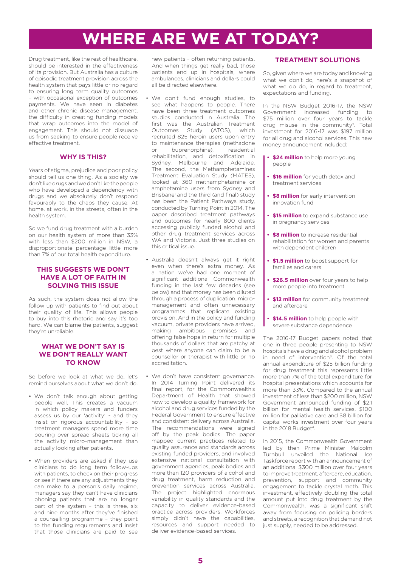# **WHERE ARE WE AT TODAY?**

Drug treatment, like the rest of healthcare, should be interested in the effectiveness of its provision. But Australia has a culture of episodic treatment provision across the health system that pays little or no regard to ensuring long term quality outcomes – with occasional exception of outcomes payments. We have seen in diabetes and other chronic disease management, the difficulty in creating funding models that wrap outcomes into the model of engagement. This should not dissuade us from seeking to ensure people receive effective treatment.

#### **WHY IS THIS?**

Years of stigma, prejudice and poor policy should tell us one thing. As a society we don't like drugs and we don't like the people who have developed a dependency with drugs and we absolutely don't respond favourably to the chaos they cause. At home, at work, in the streets, often in the health system.

So we fund drug treatment with a burden on our health system of more than 33% with less than \$200 million in NSW, a disproportionate percentage little more than 7% of our total health expenditure.

#### **THIS SUGGESTS WE DON'T HAVE A LOT OF FAITH IN SOLVING THIS ISSUE**

As such, the system does not allow the follow up with patients to find out about their quality of life. This allows people to buy into this rhetoric and say it's too hard. We can blame the patients, suggest they're unreliable.

#### **WHAT WE DON'T SAY IS WE DON'T REALLY WANT TO KNOW**

So before we look at what we do, let's remind ourselves about what we don't do.

- We don't talk enough about getting people well. This creates a vacuum in which policy makers and funders assess us by our 'activity' - and they insist on rigorous accountability – so treatment managers spend more time pouring over spread sheets ticking all the activity micro-management than actually looking after patients.
- When providers are asked if they use clinicians to do long term follow-ups with patients, to check on their progress or see if there are any adjustments they can make to a person's daily regime, managers say they can't have clinicians phoning patients that are no longer part of the system – this is three, six and nine months after they've finished a counselling programme – they point to the funding requirements and insist that those clinicians are paid to see

new patients – often returning patients. And when things get really bad, those patients end up in hospitals, where ambulances, clinicians and dollars could all be directed elsewhere.

- We don't fund enough studies, to see what happens to people. There have been three treatment outcomes studies conducted in Australia. The first was the Australian Treatment Outcomes Study (ATOS), which recruited 825 heroin users upon entry to maintenance therapies (methadone or buprenorphine) residential rehabilitation, and detoxification in Sydney, Melbourne and Adelaide. The second, the Methamphetamines Treatment Evaluation Study (MATES), looked at 360 methamphetamine or amphetamine users from Sydney and Brisbane<sup>1</sup> and the third (and final) study has been the Patient Pathways study, conducted by Turning Point in 2014. The paper described treatment pathways and outcomes for nearly 800 clients accessing publicly funded alcohol and other drug treatment services across WA and Victoria. Just three studies on this critical issue.
- Australia doesn't always get it right even when there's extra money. As a nation we've had one moment of significant additional Commonwealth funding in the last few decades (see below) and that money has been diluted through a process of duplication, micromanagement and often unnecessary programmes that replicate existing provision. And in the policy and funding vacuum, private providers have arrived, making ambitious promises and offering false hope in return for multiple thousands of dollars that are patchy at best where anyone can claim to be a counsellor or therapist with little or no accreditation.
- We don't have consistent governance In 2014 Turning Point delivered its final report, for the Commonwealth's Department of Health that showed how to develop a quality framework for alcohol and drug services funded by the Federal Government to ensure effective and consistent delivery across Australia. The recommendations were signed off by the peak bodies. The paper mapped current practices related to quality assurance and standards across existing funded providers, and involved extensive national consultation with government agencies, peak bodies and more than 120 providers of alcohol and drug treatment, harm reduction and prevention services across Australia. The project highlighted enormous variability in quality standards and the capacity to deliver evidence-based practice across providers. Workforces simply didn't have the capabilities, resources and support needed to deliver evidence-based services.

#### **TREATMENT SOLUTIONS**

So, given where we are today and knowing what we don't do, here's a snapshot of what we do do, in regard to treatment. expectations and funding.

In the NSW Budget 2016-17, the NSW Government increased funding to \$75 million over four years to tackle drug misuse in the community2. Total investment for 2016-17 was \$197 million for all drug and alcohol services. This new money announcement included:

- **\$24 million** to help more young people
- **\$16 million** for youth detox and treatment services
- **\$8 million** for early intervention innovation fund
- **\$15 million** to expand substance use in pregnancy services
- **\$8 million** to increase residential rehabilitation for women and parents with dependent children
- **• \$1.5 million** to boost support for families and carers
- **\$26.5 million** over four years to help more people into treatment
- **• \$12 million** for community treatment and aftercare
- **\$14.5 million** to help people with severe substance dependence

The 2016-17 Budget papers noted that one in three people presenting to NSW hospitals have a drug and alcohol problem in need of intervention<sup>3</sup>. Of the total annual expenditure of \$25 billion funding for drug treatment this represents little more than 7% of the total expenditure for hospital presentations which accounts for more than 33%. Compared to the annual investment of less than \$200 million, NSW Government announced funding of \$2.1 billion for mental health services, \$100 million for palliative care and \$8 billion for capital works investment over four years in the 2018 Budget<sup>4</sup>.

In 2015, the Commonwealth Government led by then Prime Minister Malcolm Turnbull unveiled the National Ice Taskforce report with an announcement of an additional \$300 million over four years to improve treatment, aftercare, education, prevention, support and community engagement to tackle crystal meth. This investment, effectively doubling the total amount put into drug treatment by the Commonwealth, was a significant shift away from focusing on policing borders and streets, a recognition that demand not just supply, needed to be addressed.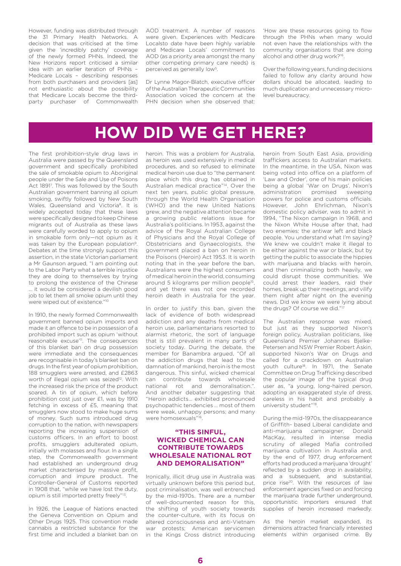However, funding was distributed through the 31 Primary Health Networks. A decision that was criticised at the time given the 'incredibly patchy' coverage of the newly formed PHNs. Indeed, the New Horizons report criticised a similar idea with an earlier iteration of PHNs – Medicare Locals – describing responses from both purchasers and providers [as] not enthusiastic about the possibility that Medicare Locals become the thirdparty purchaser of Commonwealth AOD treatment. A number of reasons were given. Experiences with Medicare Localsto date have been highly variable and Medicare Locals' commitment to AOD (as a priority area amongst the many other competing primary care needs) is perceived as generally low<sup>5</sup>.

Dr Lynne Magor-Blatch, executive officer of the Australian Therapeutic Communities Association voiced the concern at the PHN decision when she observed that:

'How are these resources going to flow through the PHNs when many would not even have the relationships with the community organisations that are doing alcohol and other drug work?'6.

Over the following years, funding decisions failed to follow any clarity around how dollars should be allocated, leading to much duplication and unnecessary microlevel bureaucracy.

# **HOW DID WE GET HERE?**

The first prohibition-style drug laws in Australia were passed by the Queensland government and specifically prohibited the sale of smokable opium to Aboriginal people under the Sale and Use of Poisons Act 18917 . This was followed by the South Australian government banning all opium smoking, swiftly followed by New South Wales, Queensland and Victoria<sup>8</sup>. It is widely accepted today that these laws were specifically designed to keep Chinese migrants out of Australia as these laws were carefully worded to apply to opium in smokable form only—not opium as it was taken by the European population<sup>9</sup>. Debates at the time strongly support this assertion, in the state Victorian parliament a Mr Gaunson argued, "I am pointing out to the Labor Party what a terrible injustice they are doing to themselves by trying to prolong the existence of the Chinese … it would be considered a devilish good job to let them all smoke opium until they were wiped out of existence."10

In 1910, the newly formed Commonwealth government banned opium imports and made it an offence to be in possession of a prohibited import such as opium 'without reasonable excuse'<sup>11</sup>. The consequences of this blanket ban on drug possession were immediate and the consequences are recognisable in today's blanket ban on drugs. In the first year of opium prohibition, 188 smugglers were arrested, and £2863 worth of illegal opium was seized<sup>12</sup>. With the increased risk the price of the product soared. A tin of opium, which before prohibition cost just over £1, was by 1910 fetching in excess of £5, meaning that smugglers now stood to make huge sums of money. Such sums introduced drug corruption to the nation, with newspapers reporting the increasing suspension of customs officers. In an effort to boost profits, smugglers adulterated opium, initially with molasses and flour. In a single step, the Commonwealth government had established an underground drug market characterised by massive profit, corruption and impure product. The Controller-General of Customs reported in 1908 that, "while we have lost the duty, opium is still imported pretty freely"13.

In 1926, the League of Nations enacted the Geneva Convention on Opium and Other Drugs 1925. This convention made cannabis a restricted substance for the first time and included a blanket ban on heroin. This was a problem for Australia as heroin was used extensively in medical procedures, and so refused to eliminate medical heroin use due to "the permanent place which this drug has obtained in Australian medical practice"14. Over the next ten years, public global pressure, through the World Health Organisation (WHO) and the new United Nations grew, and the negative attention became a growing public relations issue for Australia's politicians. In 1953, against the advice of the Royal Australian College of Physicians and the Royal College of Obstetricians and Gynaecologists, the government placed a ban on heroin in the Poisons (Heroin) Act 1953. It is worth noting that in the year before the ban, Australians were the highest consumers of medical heroin in the world, consuming around 5 kilograms per million people<sup>15</sup>, and yet there was not one recorded heroin death in Australia for the year.

In order to justify this ban, given the lack of evidence of both widespread addiction and any deaths from medical heroin use, parliamentarians resorted to alarmist rhetoric, the sort of language that is still prevalent in many parts of society today. During the debate, the member for Banambra argued, "Of all the addiction drugs that lead to the damnation of mankind, heroin is the most dangerous. This sinful, wicked chemical can contribute towards wholesale national rot and demoralisation.". And another debater suggesting that "Heroin addicts… exhibited pronounced psychopathic tendencies … most of them were weak, unhappy persons; and many were homosexuals"16.

#### **"THIS SINFUL, WICKED CHEMICAL CAN CONTRIBUTE TOWARDS WHOLESALE NATIONAL ROT AND DEMORALISATION"**

Ironically, illicit drug use in Australia was virtually unknown before this period but, post criminalisation, was well entrenched by the mid-1970s. There are a number of well-documented reason for this, the shifting of youth society towards the counter-culture, with its focus on altered consciousness and anti-Vietnam war protests; American servicemen in the Kings Cross district introducing

heroin from South East Asia, providing traffickers access to Australian markets. In the meantime, in the USA, Nixon was being voted into office on a platform of 'Law and Order', one of his main policies being a global 'War on Drugs'. Nixon's administration promised sweeping powers for police and customs officials. However, John Ehrlichman, Nixon's domestic policy adviser, was to admit in 1994, "The Nixon campaign in 1968, and the Nixon White House after that, had two enemies: the antiwar left and black people. You understand what I'm saying? We knew we couldn't make it illegal to be either against the war or black, but by getting the public to associate the hippies with marijuana and blacks with heroin. and then criminalizing both heavily, we could disrupt those communities. We could arrest their leaders, raid their homes, break up their meetings, and vilify them night after night on the evening news. Did we know we were lying about the drugs? Of course we did."<sup>17</sup>

The Australian response was mixed, but just as they supported Nixon's foreign policy, Australian politicians, like Queensland Premier Johannes Bjelke-Petersen and NSW Premier Robert Askin, supported Nixon's War on Drugs and called for a crackdown on Australian youth culture<sup>18</sup>. In 1971, the Senate Committee on Drug Trafficking described the popular image of the typical drug user as, "a young, long-haired person, adopting an exaggerated style of dress, careless in his habit and probably a university student"19.

During the mid-1970s, the disappearance of Griffith- based Liberal candidate and anti-marijuana campaigner, Donald MacKay, resulted in intense media scrutiny of alleged Mafia controlled marijuana cultivation in Australia and, by the end of 1977, drug enforcement efforts had produced a marijuana 'drought' reflected by a sudden drop in availability, and a subsequent, and substantial, price rise20. With the resources of law enforcement agencies fixed on and forcing the marijuana trade further underground, opportunistic importers ensured that supplies of heroin increased markedly.

As the heroin market expanded, its dimensions attracted financially interested elements within organised crime. By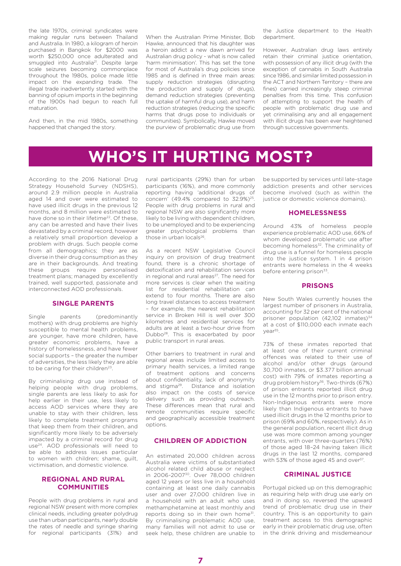the late 1970s, criminal syndicates were making regular runs between Thailand and Australia. In 1980, a kilogram of heroin purchased in Bangkok for \$2000 was worth \$250,000 once adulterated and smuggled into Australia<sup>21</sup>. Despite large scale seizures becoming commonplace throughout the 1980s, police made little impact on the expanding trade. The illegal trade inadvertently started with the banning of opium imports in the beginning of the 1900s had begun to reach full maturation.

And then, in the mid 1980s, something happened that changed the story.

When the Australian Prime Minister, Bob Hawke, announced that his daughter was a heroin addict a new dawn arrived for Australian drug policy - what is now called 'harm minimisation'. This has set the tone for most of Australia's drug policies since 1985 and is defined in three main areas: supply reduction strategies (disrupting the production and supply of drugs), demand reduction strategies (preventing the uptake of harmful drug use), and harm reduction strategies (reducing the specific harms that drugs pose to individuals or communities). Symbolically, Hawke moved the purview of problematic drug use from

the Justice department to the Health department.

However, Australian drug laws entirely retain their criminal justice orientation, with possession of any illicit drug (with the exception of cannabis in South Australia since 1986, and similar limited possession in the ACT and Northern Territory – there are fines) carried increasingly steep criminal penalties from this time. This confusion of attempting to support the health of people with problematic drug use and yet criminalising any and all engagement with illicit drugs has been ever heightened through successive governments.

# **WHO'S IT HURTING MOST?**

According to the 2016 National Drug Strategy Household Survey (NDSHS), around 2.9 million people in Australia aged 14 and over were estimated to have used illicit drugs in the previous 12 months, and 8 million were estimated to have done so in their lifetime<sup>22</sup>. Of these, any can be arrested and have their lives devastated by a criminal record, however a relatively small proportion develop a problem with drugs. Such people come from all demographics; they are as diverse in their drug consumption as they are in their backgrounds. And treating these groups require personalised treatment plans; managed by excellently trained, well supported, passionate and interconnected AOD professionals.

#### **SINGLE PARENTS**

Single parents (predominantly mothers) with drug problems are highly susceptible to mental health problems, are younger, have more children, have greater economic problems, have a history of homelessness, and have fewer social supports – the greater the number of adversities, the less likely they are able to be caring for their children<sup>23</sup>.

By criminalising drug use instead of helping people with drug problems, single parents are less likely to ask for help earlier in their use, less likely to access AOD services where they are unable to stay with their children, less likely to complete treatment programs that keep them from their children, and significantly more likely to be adversely impacted by a criminal record for drug use24. AOD professionals will need to be able to address issues particular to women with children; shame, guilt, victimisation, and domestic violence.

#### **REGIONAL AND RURAL COMMUNITIES**

People with drug problems in rural and regional NSW present with more complex clinical needs, including greater polydrug use than urban participants, nearly double the rates of needle and syringe sharing for regional participants (31%) and rural participants (29%) than for urban participants (16%), and more commonly reporting having 'additional drugs of concern' (49.4% compared to  $32.9\%$ )<sup>25</sup> People with drug problems in rural and regional NSW are also significantly more likely to be living with dependent children, to be unemployed and to be experiencing greater psychological problems than those in urban locals<sup>26</sup>.

As a recent NSW Legislative Council inquiry on provision of drug treatment found, there is a chronic shortage of detoxification and rehabilitation services in regional and rural areas<sup>27</sup>. The need for more services is clear when the waiting list for residential rehabilitation can extend to four months. There are also long travel distances to access treatment – for example, the nearest rehabilitation service in Broken Hill is well over 300 kilometres and residential services for adults are at least a two-hour drive from Dubbo28. This is exacerbated by poor public transport in rural areas.

Other barriers to treatment in rural and regional areas include limited access to primary health services, a limited range of treatment options and concerns about confidentiality, lack of anonymity and stigma<sup>29</sup>. Distance and isolation also impact on the costs of service delivery such as providing outreach. These differences mean that rural and remote communities require specific and geographically accessible treatment options.

#### **CHILDREN OF ADDICTION**

An estimated 20,000 children across Australia were victims of substantiated alcohol related child abuse or neglect in 2006-200730. Over 78,000 children aged 12 years or less live in a household containing at least one daily cannabis user and over 27,000 children live in a household with an adult who uses methamphetamine at least monthly and reports doing so in their own home<sup>31</sup>. By criminalising problematic AOD use, many families will not admit to use or seek help, these children are unable to

be supported by services until late-stage addiction presents and other services become involved (such as within the justice or domestic violence domains).

#### **HOMELESSNESS**

Around 43% of homeless people experience problematic AOD use, 66% of whom developed problematic use after becoming homeless<sup>32</sup>. The criminality of drug use is a funnel for homeless people into the justice system. 1 in 4 prison entrants were homeless in the 4 weeks before entering prison<sup>33</sup>.

#### **PRISONS**

New South Wales currently houses the largest number of prisoners in Australia, accounting for 32 per cent of the national prisoner population  $(42,102 \text{ inmates})^{34}$ at a cost of \$110,000 each inmate each year<sup>35</sup>.

73% of these inmates reported that at least one of their current criminal offences was related to their use of alcohol and/or other drugs (around 30,700 inmates, or \$3.377 billion annual cost) with 79% of inmates reporting a drug problem history<sup>36</sup>. Two-thirds (67%) of prison entrants reported illicit drug use in the 12 months prior to prison entry. Non-Indigenous entrants were more likely than Indigenous entrants to have used illicit drugs in the 12 months prior to prison (69% and 60%, respectively). As in the general population, recent illicit drug use was more common among younger entrants, with over three-quarters (76%) of those aged 18–24 having taken illicit drugs in the last 12 months, compared with 53% of those aged 45 and over<sup>37</sup>.

#### **CRIMINAL JUSTICE**

Portugal picked up on this demographic as requiring help with drug use early on and in doing so, reversed the upward trend of problematic drug use in their country. This is an opportunity to gain treatment access to this demographic early in their problematic drug use, often in the drink driving and misdemeanour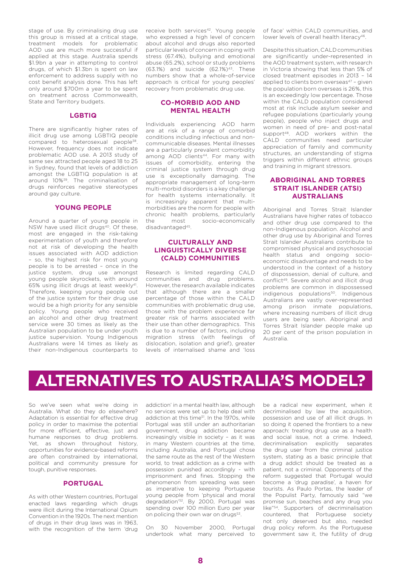stage of use. By criminalising drug use this group is missed at a critical stage, treatment models for problematic AOD use are much more successful if applied at this stage. Australia spends \$1.9bn a year in attempting to control drugs, of which \$1.3bn is spent on law enforcement to address supply with no cost benefit analysis done. This has left only around \$700m a year to be spent on treatment across Commonwealth, State and Territory budgets.

#### **LGBTIQ**

There are significantly higher rates of illicit drug use among LGBTIQ people compared to heterosexual people<sup>38</sup>. However, frequency does not indicate problematic AOD use. A 2013 study of same sex attracted people aged 18 to 25 in Sydney, found that levels of addiction amongst the LGBTIQ population is at around 10%39. The criminalisation of drugs reinforces negative stereotypes around gay culture.

#### **YOUNG PEOPLE**

Around a quarter of young people in NSW have used illicit drugs<sup>40</sup>. Of these, most are engaged in the risk-taking experimentation of youth and therefore not at risk of developing the health issues associated with AOD addiction – so, the highest risk for most young people is to be arrested – once in the justice system, drug use amongst young people skyrockets, with around 65% using illicit drugs at least weekly41. Therefore, keeping young people out of the justice system for their drug use would be a high priority for any sensible policy. Young people who received an alcohol and other drug treatment service were 30 times as likely as the Australian population to be under youth justice supervision. Young Indigenous Australians were 14 times as likely as their non-Indigenous counterparts to

receive both services<sup>42</sup>. Young people who expressed a high level of concern about alcohol and drugs also reported particular levels of concern in coping with stress (67.4%), bullying and emotional abuse (65.2%), school or study problems  $(63.1%)$  and suicide  $(62.1%)^{43}$ . These numbers show that a whole-of-service approach is critical for young peoples' recovery from problematic drug use.

#### **CO-MORBID AOD AND MENTAL HEALTH**

Individuals experiencing AOD harm are at risk of a range of comorbid conditions including infectious and noncommunicable diseases. Mental illnesses are a particularly prevalent comorbidity among AOD clients<sup>44</sup>. For many with issues of comorbidity, entering the criminal justice system through drug use is exceptionally damaging. The appropriate management of long-term multi-morbid disorders is a key challenge for health systems internationally. It is increasingly apparent that multimorbidities are the norm for people with chronic health problems, particularly the most socio-economically disadvantaged<sup>45</sup>.

#### **CULTURALLY AND LINGUISTICALLY DIVERSE (CALD) COMMUNITIES**

Research is limited regarding CALD communities and drug problems. However, the research available indicates that although there are a smaller percentage of those within the CALD communities with problematic drug use, those with the problem experience far greater risk of harms associated with their use than other demographics. This is due to a number of factors, including migration stress (with feelings of dislocation, isolation and grief), greater levels of internalised shame and 'loss

of face' within CALD communities, and lower levels of overall health literacy<sup>46</sup>.

Despite this situation, CALD communities are significantly under-represented in the AOD treatment system, with research in Victoria showing that less than 5% of closed treatment episodes in 2013 – 14 applied to clients born overseas $47$  – given the population born overseas is 26%, this is an exceedingly low percentage. Those within the CALD population considered most at risk include asylum seeker and refugee populations (particularly young people), people who inject drugs and women in need of pre- and post-natal support<sup>48</sup>. AOD workers within the CALD communities need particular appreciation of family and community structures, an understanding of stigma triggers within different ethnic groups and training in migrant stressors.

#### **ABORIGINAL AND TORRES STRAIT ISLANDER (ATSI) AUSTRALIANS**

Aboriginal and Torres Strait Islander Australians have higher rates of tobacco and other drug use compared to the non-Indigenous population. Alcohol and other drug use by Aboriginal and Torres Strait Islander Australians contribute to compromised physical and psychosocial health status and ongoing socioeconomic disadvantage and needs to be understood in the context of a history of dispossession, denial of culture, and conflict49. Severe alcohol and illicit drug problems are common in dispossessed indigenous populations<sup>50</sup>. Indigenous Australians are vastly over-represented among prison inmate populations, where increasing numbers of illicit drug users are being seen. Aboriginal and Torres Strait Islander people make up 20 per cent of the prison population in Australia.

# **ALTERNATIVES TO AUSTRALIA'S MODEL?**

So we've seen what we're doing in Australia. What do they do elsewhere? Adaptation is essential for effective drug policy in order to maximise the potential for more efficient, effective, just and humane responses to drug problems. Yet, as shown throughout history, opportunities for evidence-based reforms are often constrained by international, political and community pressure for tough, punitive responses.

#### **PORTUGAL**

As with other Western countries, Portugal enacted laws regarding which drugs were illicit during the International Opium Convention in the 1920s. The next mention of drugs in their drug laws was in 1963, with the recognition of the term 'drug

addiction' in a mental health law, although no services were set up to help deal with addiction at this time<sup>51</sup>. In the 1970s, while Portugal was still under an authoritarian government, drug addiction became increasingly visible in society – as it was in many Western countries at the time, including Australia, and Portugal chose the same route as the rest of the Western world, to treat addiction as a crime with possession punished accordingly - with imprisonment and fines. Stopping the phenomenon from spreading was seen as imperative to keeping Portuguese young people from 'physical and moral degradation'52. By 2000, Portugal was spending over 100 million Euro per year on policing their own war on drugs<sup>53</sup>.

On 30 November 2000, Portugal undertook what many perceived to

be a radical new experiment, when it decriminalised by law the acquisition, possession and use of all illicit drugs. In so doing it opened the frontiers to a new approach: treating drug use as a health and social issue, not a crime. Indeed, decriminalisation explicitly separates the drug user from the criminal justice system, stating as a basic principle that a drug addict should be treated as a patient, not a criminal. Opponents of the reform suggested that Portugal would become a 'drug paradise', a haven for tourists. As Paulo Portas, the leader of the Populist Party, famously said "we promise sun, beaches and any drug you like"54. Supporters of decriminalisation countered, that Portuguese society not only deserved but also, needed drug policy reform. As the Portuguese government saw it, the futility of drug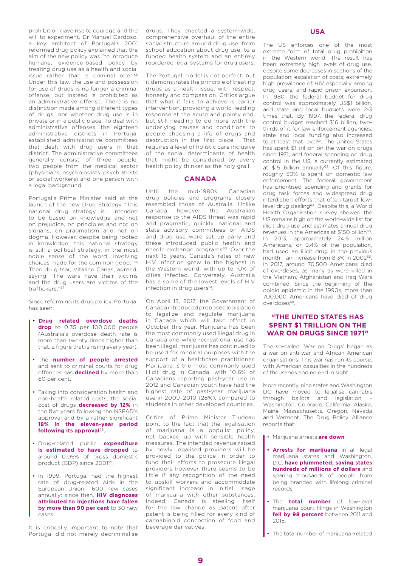prohibition gave rise to courage and the will to experiment. Dr Manuel Cardoso, a key architect of Portugal's 2001 reformed drug policy explained that the aim of the new policy was "to introduce humane, evidence-based policy by treating drug use as a health and social issue rather than a criminal one."55 Under this law, the use and possession for use of drugs is no longer a criminal offense, but instead is prohibited as an administrative offense. There is no distinction made among different types of drugs, nor whether drug use is in private or in a public place. To deal with administrative offenses, the eighteen administrative districts in Portugal established administrative committees that dealt with drug users in that district. The administrative committees generally consist of three people, two people from the medical sector (physicians, psychologists, psychiatrists or social workers) and one person with a legal background.

Portugal's Prime Minister said at the launch of the new Drug Strategy "This national drug strategy is… intended to be based on knowledge and not on prejudice, on principles and not on slogans, on pragmatism and not on dogma. However, despite being rooted in knowledge, this national strategy is still a political strategy, in the most noble sense of the word, involving choices made for the common good."56 Then drug tsar, Vitalino Canas, agreed, saying "The wars have their victims and the drug users are victims of the traffickers."57

Since reforming its drug policy, Portugal has seen:

- **• Drug related overdose deaths drop** to 0.35 per 100,000 people (Australia's overdose death rate is more than twenty times higher than that, a figure that is rising every year).
- The **number of people arrested** and sent to criminal courts for drug offences has **declined** by more than 60 per cent.
- Taking into consideration health and non-health related costs, the social cost of drugs **decreased by 12%** in the five years following the NSFAD's approval and by a rather significant **18% in the eleven-year period following its approval**58.
- Drug-related public **expenditure is estimated to have dropped** to around 0.05% of gross domestic product (GDP) since 200159.
- In 1999, Portugal had the highest rate of drug-related Aids in the European Union, 1600 new cases annually; since then, **HIV diagnoses attributed to injections have fallen by more than 90 per cent** to 30 new cases.

It is critically important to note that Portugal did not merely decriminalise drugs. They enacted a system-wide, comprehensive overhaul of the entire social structure around drug use; from school education about drug use, to a funded health system and an entirely reordered legal systems for drug users.

The Portugal model is not perfect, but it demonstrates the principle of treating drugs as a health issue, with respect, honesty and compassion. Critics argue that what it fails to achieve is earlier intervention, providing a world-leading response at the acute and pointy end, but still needing to do more with the underlying causes and conditions to people choosing a life of drugs and destruction in the first place. That requires a level of holistic care inclusive of the social determinants of health that might be considered by every health policy thinker as the holy grail.

#### **CANADA**

Until the mid-1980s Canadian drug policies and programs closely resembled those of Australia. Unlike Canada, however, the Australian response to the AIDS threat was rapid and pragmatic, quickly, national and state advisory committees on AIDS and drug use were set up early and these introduced public health and needle exchange programs<sup>60</sup>. Over the next 15 years, Canada's rates of new HIV infection grew to the highest in the Western world, with up to 10% of cities infected. Conversely, Australia has a some of the lowest levels of HIV infection in drug users<sup>61</sup>.

On April 13, 2017, the Government of Canada introduced proposed legislation to legalize and regulate marijuana in Canada which will take effect in October this year. Marijuana has been the most commonly used illegal drug in Canada and while recreational use has been illegal, marijuana has continued to be used for medical purposes with the support of a healthcare practitioner. Marijuana is the most commonly used illicit drug in Canada, with 10.6% of Canadians reporting past-year use in 2012 and Canadian youth have had the highest rate of past-year marijuana use in 2009–2010 (28%), compared to students in other developed countries.

Critics of Prime Minister Trudeau point to the fact that the legalisation of marijuana is a populist policy, not backed up with sensible health measures. The intended revenue raised by newly legalised providers will be provided to the police in order to fund their efforts to prosecute illegal providers however there seems to be little if any recognition of the need to upskill workers and accommodate significant increase in initial usage of marijuana with other substances. Indeed, Canada is steeling itself for the law change as patent after patent is being filled for every kind of cannabinoid concoction of food and beverage derivatives.

#### **USA**

The US enforces one of the most extreme form of total drug prohibition in the Western world. The result has been: extremely high levels of drug use, despite some decreases in sections of the population; escalation of costs; extremely high prevalence of HIV especially among drug users, and rapid prison expansion. In 1980, the federal budget for drug control was approximately US\$1 billion, and state and local budgets were 2-3 times that. By 1997, the federal drug control budget reached \$16 billion, twothirds of it for law enforcement agencies; state and local funding also increased to at least that level<sup>62</sup>. The United States has spent \$1 trillion on the war on drugs since 1971, and federal spending on drug control in the US is currently estimated at  $$15$  billion annually<sup>63</sup>. Of this figure, roughly 50% is spent on domestic law enforcement. The federal government has prioritised spending and grants for drug task forces and widespread drug interdiction efforts that often target lowlevel drug dealing64. Despite this, a World Health Organisation survey showed the US remains high on the world-wide list for illicit drug use and estimates annual drug revenues in the Americas at \$150 billion<sup>65</sup>. In 2013, approximately 24.6 million Americans, or 9.4% of the population, had used an illicit drug in the previous month - an increase from 8.3% in 2002<sup>66</sup>. In 2017, around 70,500 Americans died of overdoses, as many as were killed in the Vietnam, Afghanistan and Iraq Wars combined. Since the beginning of the opioid epidemic in the 1990s, more than 700,000 Americans have died of drug overdoses68.

#### **"THE UNITED STATES HAS SPENT \$1 TRILLION ON THE WAR ON DRUGS SINCE 1971"**

The so-called 'War on Drugs' began as a war on anti-war and African American organisations. This war has run its course, with American casualties in the hundreds of thousands and no end in sight.

More recently, nine states and Washington DC have moved to legalise cannabis through ballots and legislation – Washington, Colorado, California, Alaska, Maine, Massachusetts, Oregon, Nevada and Vermont. The Drug Policy Alliance reports that:

- Marijuana arrests **are down**.
- **• Arrests for marijuana** in all legal marijuana states and Washington, D.C. **have plummeted, saving states hundreds of millions of dollars** and sparing thousands of people from being branded with lifelong criminal records.
- The **total number** of low-level marijuana court filings in Washington fell by 98 percent between 2011 and 2015.
- The total number of marijuana–related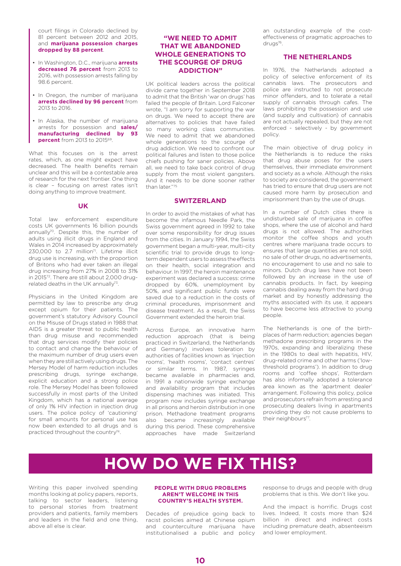court filings in Colorado declined by 81 percent between 2012 and 2015, and **marijuana possession charges dropped by 88 percent**.

- In Washington, D.C., marijuana **arrests decreased 76 percent** from 2013 to 2016, with possession arrests falling by 98.6 percent.
- In Oregon, the number of marijuana **arrests declined by 96 percent** from 2013 to 2016.
- In Alaska, the number of marijuana arrests for possession and **sales/ manufacturing declined by 93 percent** from 2013 to 2015<sup>69</sup>.

What this focuses on is the arrest rates, which, as one might expect have decreased. The health benefits remain unclear and this will be a contestable area of research for the next frontier. One thing is clear – focusing on arrest rates isn't doing anything to improve treatment.

#### **UK**

Total law enforcement expenditure costs UK governments 16 billion pounds annually<sup>70</sup>. Despite this, the number of adults using illicit drugs in England and Wales in 2014 increased by approximately 230,000 to 2.7 million<sup>71</sup>. Lifetime illicit drug use is increasing, with the proportion of Britons who had ever taken an illegal drug increasing from 27% in 2008 to 31% in 201572. There are still about 2,000 drugrelated deaths in the UK annually<sup>73</sup>.

Physicians in the United Kingdom are permitted by law to prescribe any drug except opium for their patients. The government's statutory Advisory Council on the Misuse of Drugs stated in 1988 that AIDS is a greater threat to public health than drug misuse and recommended that drug services modify their policies to contact and change the behaviour of the maximum number of drug users even when they are still actively using drugs. The Mersey Model of harm reduction includes prescribing drugs, syringe exchange, explicit education and a strong police role. The Mersey Model has been followed successfully in most parts of the United Kingdom, which has a national average of only 1% HIV infection in injection drug users. The police policy of 'cautioning' for small amounts for personal use has now been extended to all drugs and is practiced throughout the country<sup>74</sup>.

#### **"WE NEED TO ADMIT THAT WE ABANDONED WHOLE GENERATIONS TO THE SCOURGE OF DRUG ADDICTION"**

UK political leaders across the political divide came together in September 2018 to admit that the British 'war on drugs' has failed the people of Britain. Lord Falconer wrote, "I am sorry for supporting the war on drugs. We need to accept there are alternatives to policies that have failed so many working class communities. We need to admit that we abandoned whole generations to the scourge of drug addiction. We need to confront our political failures and listen to those police chiefs pushing for saner policies. Above all, we need to take back control of drug supply from the most violent gangsters. And it needs to be done sooner rather than later"75

#### **SWITZERLAND**

In order to avoid the mistakes of what has become the infamous Needle Park, the Swiss government agreed in 1992 to take over some responsibility for drug issues from the cities. In January 1994, the Swiss government began a multi-year, multi-city scientific trial to provide drugs to longterm dependent users to assess the effects on their health, social integration and behaviour. In 1997, the heroin maintenance experiment was declared a success: crime dropped by 60%, unemployment by 50%, and significant public funds were saved due to a reduction in the costs of criminal procedures, imprisonment and disease treatment. As a result, the Swiss Government extended the heroin trial.

Across Europe, an innovative harm reduction approach (that is being practiced in Switzerland, the Netherlands and Germany) involves toleration by authorities of facilities known as 'injection rooms', 'health rooms', 'contact centres' or similar terms. In 1987, syringes became available in pharmacies and, in 1991 a nationwide syringe exchange and availability program that includes dispensing machines was initiated. This program now includes syringe exchange in all prisons and heroin distribution in one prison. Methadone treatment programs also became increasingly available during this period. These comprehensive approaches have made Switzerland

an outstanding example of the costeffectiveness of pragmatic approaches to drugs<sup>76</sup>.

#### **THE NETHERLANDS**

In 1976, the Netherlands adopted a policy of selective enforcement of its cannabis laws. The prosecutors and police are instructed to not prosecute minor offenders, and to tolerate a retail supply of cannabis through cafes. The laws prohibiting the possession and use (and supply and cultivation) of cannabis are not actually repealed, but they are not enforced - selectively - by government policy.

The main objective of drug policy in the Netherlands is to reduce the risks that drug abuse poses for the users themselves, their immediate environment and society as a whole. Although the risks to society are considered, the government has tried to ensure that drug users are not caused more harm by prosecution and imprisonment than by the use of drugs.

In a number of Dutch cities there is undisturbed sale of marijuana in coffee shops, where the use of alcohol and hard drugs is not allowed. The authorities monitor the coffee shops and youth centres where marijuana trade occurs to ensures that large quantities are not sold, no sale of other drugs, no advertisements, no encouragement to use and no sale to minors. Dutch drug laws have not been followed by an increase in the use of cannabis products. In fact, by keeping cannabis dealing away from the hard drug market and by honestly addressing the myths associated with its use, it appears to have become less attractive to young people.

The Netherlands is one of the birthplaces of harm reduction; agencies began methadone prescribing programs in the 1970s, expanding and liberalizing these in the 1980s to deal with hepatitis, HIV, drug-related crime and other harms ('lowthreshold programs'). In addition to drug rooms and 'coffee shops', Rotterdam has also informally adopted a tolerance area known as the 'apartment dealer' arrangement. Following this policy, police and prosecutors refrain from arresting and prosecuting dealers living in apartments providing they do not cause problems to their neighbours<sup>77</sup>.

# **HOW DO WE FIX THIS?**

Writing this paper involved spending months looking at policy papers, reports, talking to sector leaders, listening to personal stories from treatment providers and patients, family members and leaders in the field and one thing, above all else is clear.

#### **PEOPLE WITH DRUG PROBLEMS AREN'T WELCOME IN THIS COUNTRY'S HEALTH SYSTEM.**

Decades of prejudice going back to racist policies aimed at Chinese opium and counterculture marijuana have institutionalised a public and policy response to drugs and people with drug problems that is this. We don't like you.

And the impact is horrific. Drugs cost lives. Indeed, It costs more than \$24 billion in direct and indirect costs including premature death, absenteeism and lower employment.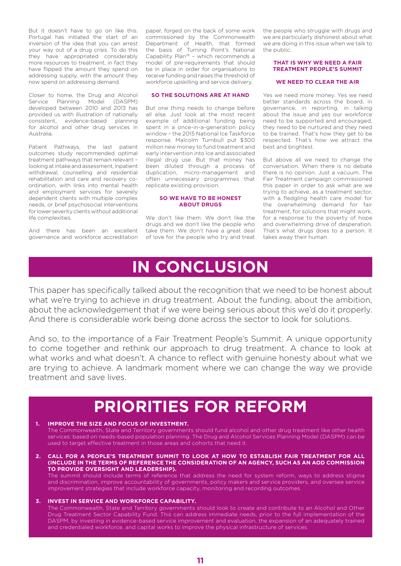But it doesn't have to go on like this. Portugal has initiated the start of an inversion of the idea that you can arrest your way out of a drug crisis. To do this they have appropriated considerably more resources to treatment, in fact they have flipped the amount they spend on addressing supply, with the amount they now spend on addressing demand.

Closer to home, the Drug and Alcohol Service Planning Model (DASPM) developed between 2010 and 2013 has provided us with illustration of nationally consistent, evidence-based planning for alcohol and other drug services in Australia.

Patient Pathways, the last patient outcomes study recommended optimal treatment pathways that remain relevant – looking at intake and assessment, inpatient withdrawal, counselling and residential rehabilitation and care and recovery coordination, with links into mental health and employment services for severely dependent clients with multiple complex needs, or brief psychosocial interventions for lower severity clients without additional life complexities.

And there has been an excellent governance and workforce accreditation paper, forged on the back of some work commissioned by the Commonwealth Department of Health, that formed the basis of Turning Point's National Capability Plan78 – which recommends a model of pre-requirements that should be in place in order for organisations to receive funding and raises the threshold of workforce upskilling and service delivery.

#### **SO THE SOLUTIONS ARE AT HAND**

But one thing needs to change before all else. Just look at the most recent example of additional funding being spent in a once-in-a-generation policy window – the 2015 National Ice Taskforce response. Malcolm Turnbull put \$300 million new money to fund treatment and early intervention into Ice and associated illegal drug use. But that money has been diluted through a process of duplication, micro-management and often unnecessary programmes that replicate existing provision.

#### **SO WE HAVE TO BE HONEST ABOUT DRUGS**

We don't like them. We don't like the drugs and we don't like the people who take them. We don't have a great deal of love for the people who try and treat the people who struggle with drugs and we are particularly dishonest about what we are doing in this issue when we talk to the public.

#### **THAT IS WHY WE NEED A FAIR TREATMENT PEOPLE'S SUMMIT**

#### **WE NEED TO CLEAR THE AIR**

Yes we need more money. Yes we need better standards across the board, in governance, in reporting, in talking about the issue and yes our workforce need to be supported and encouraged, they need to be nurtured and they need to be trained. That's how they get to be respected. That's how we attract the best and brightest.

But above all we need to change the conversation. When there is no debate there is no opinion. Just a vacuum. The Fair Treatment campaign commissioned this paper in order to ask what are we trying to achieve, as a treatment sector, with a fledgling health care model for the overwhelming demand for fair treatment, for solutions that might work, for a response to the poverty of hope and overwhelming drive of desperation. That's what drugs does to a person. It takes away their human.

### **IN CONCLUSION**

This paper has specifically talked about the recognition that we need to be honest about what we're trying to achieve in drug treatment. About the funding, about the ambition, about the acknowledgement that if we were being serious about this we'd do it properly. And there is considerable work being done across the sector to look for solutions.

And so, to the importance of a Fair Treatment People's Summit. A unique opportunity to come together and rethink our approach to drug treatment. A chance to look at what works and what doesn't. A chance to reflect with genuine honesty about what we are trying to achieve. A landmark moment where we can change the way we provide treatment and save lives.

## **PRIORITIES FOR REFORM**

#### **1. IMPROVE THE SIZE AND FOCUS OF INVESTMENT.**

The Commonwealth, State and Territory governments should fund alcohol and other drug treatment like other health services: based on needs-based population planning. The Drug and Alcohol Services Planning Model (DASPM) can be used to target effective treatment in those areas and cohorts that need it.

**2. CALL FOR A PEOPLE'S TREATMENT SUMMIT TO LOOK AT HOW TO ESTABLISH FAIR TREATMENT FOR ALL (INCLUDE IN THE TERMS OF REFERENCE THE CONSIDERATION OF AN AGENCY, SUCH AS AN AOD COMMISSION TO PROVIDE OVERSIGHT AND LEADERSHIP).** The summit should include terms of reference that address the need for system reform, ways to address stigma

and discrimination, improve accountability of governments, policy makers and service providers, and oversee service improvement strategies that include workforce capacity, monitoring and recording outcomes.

#### **3. INVEST IN SERVICE AND WORKFORCE CAPABILITY.**

The Commonwealth, State and Territory governments should look to create and contribute to an Alcohol and Other Drug Treatment Sector Capability Fund. This can address immediate needs, prior to the full implementation of the DASPM, by investing in evidence-based service improvement and evaluation, the expansion of an adequately trained and credentialed workforce, and capital works to improve the physical infrastructure of services.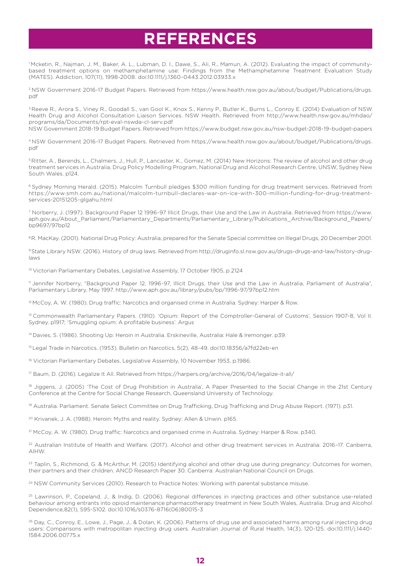# **REFERENCES**

1 Mcketin, R., Najman, J. M., Baker, A. L., Lubman, D. I., Dawe, S., Ali, R., Mamun, A. (2012). Evaluating the impact of communitybased treatment options on methamphetamine use: Findings from the Methamphetamine Treatment Evaluation Study (MATES). Addiction, 107(11), 1998-2008. doi:10.1111/j.1360-0443.2012.03933.x

2 NSW Government 2016-17 Budget Papers. Retrieved from https://www.health.nsw.gov.au/about/budget/Publications/drugs. pdf

<sup>3</sup> Reeve R., Arora S., Viney R., Goodall S., van Gool K., Knox S., Kenny P., Butler K., Burns L., Conroy E. (2014) Evaluation of NSW Health Drug and Alcohol Consultation Liaison Services. NSW Health. Retrieved from http://www.health.nsw.gov.au/mhdao/ programs/da/Documents/rpt-eval-nswda-cl-serv.pdf

NSW Government 2018-19 Budget Papers. Retrieved from https://www.budget.nsw.gov.au/nsw-budget-2018-19-budget-papers

4 NSW Government 2016-17 Budget Papers. Retrieved from https://www.health.nsw.gov.au/about/budget/Publications/drugs. pdf

5 Ritter, A., Berends, L., Chalmers, J., Hull, P., Lancaster, K., Gomez, M. (2014) New Horizons: The review of alcohol and other drug treatment services in Australia, Drug Policy Modelling Program, National Drug and Alcohol Research Centre, UNSW, Sydney New South Wales. p124.

6 Sydney Morning Herald. (2015). Malcolm Turnbull pledges \$300 million funding for drug treatment services. Retrieved from https://www.smh.com.au/national/malcolm-turnbull-declares-war-on-ice-with-300-million-funding-for-drug-treatmentservices-20151205-glgahu.html

7 Norberry, J. (1997). Background Paper 12 1996-97 Illicit Drugs, their Use and the Law in Australia. Retrieved from https://www. aph.gov.au/About\_Parliament/Parliamentary\_Departments/Parliamentary\_Library/Publications\_Archive/Background\_Papers/ bp9697/97bp12

<sup>8</sup> R. MacKay. (2001). National Drug Policy: Australia, prepared for the Senate Special committee on Illegal Drugs, 20 December 2001.

9 State Library NSW. (2016). History of drug laws. Retrieved from http://druginfo.sl.nsw.gov.au/drugs-drugs-and-law/history-druglaws

10 Victorian Parliamentary Debates, Legislative Assembly, 17 October 1905, p.2124

11 Jennifer Norberry, "Background Paper 12, 1996-97, Illicit Drugs, their Use and the Law in Australia, Parliament of Australia", Parliamentary Library, May 1997. http://www.aph.gov.au/library/pubs/bp/1996-97/97bp12.htm

<sup>12</sup> McCoy, A. W. (1980). Drug traffic: Narcotics and organised crime in Australia. Sydney: Harper & Row.

13 Commonwealth Parliamentary Papers. (1910). 'Opium: Report of the Comptroller-General of Customs', Session 1907-8, Vol II. Sydney. p1917; 'Smuggling opium: A profitable business'. Argus

14 Davies, S. (1986). Shooting Up: Heroin in Australia. Erskineville, Australia: Hale & Iremonger. p39.

15 Legal Trade in Narcotics. (1953). Bulletin on Narcotics, 5(2), 48-49. doi:10.18356/a7fd22eb-en

16 Victorian Parliamentary Debates, Legislative Assembly, 10 November 1953, p.1986.

17 Baum, D. (2016). Legalize It All. Retrieved from https://harpers.org/archive/2016/04/legalize-it-all/

<sup>18</sup> Jiggens, J. (2005) 'The Cost of Drug Prohibition in Australia', A Paper Presented to the Social Change in the 21st Century Conference at the Centre for Social Change Research, Queensland University of Technology.

19 Australia. Parliament. Senate Select Committee on Drug Trafficking, Drug Trafficking and Drug Abuse Report. (1971). p31.

<sup>20</sup> Krivanek, J. A. (1988). Heroin: Myths and reality. Sydney: Allen & Unwin. p165.

21 McCoy, A. W. (1980). Drug traffic: Narcotics and organised crime in Australia. Sydney: Harper & Row. p340.

22 Australian Institute of Health and Welfare. (2017). Alcohol and other drug treatment services in Australia: 2016–17. Canberra, AIHW.

<sup>23</sup> Taplin, S., Richmond, G. & McArthur, M. (2015) Identifying alcohol and other drug use during pregnancy: Outcomes for women, their partners and their children. ANCD Research Paper 30. Canberra: Australian National Council on Drugs.

<sup>24</sup> NSW Community Services (2010). Research to Practice Notes: Working with parental substance misuse.

25 Lawrinson, P., Copeland, J., & Indig, D. (2006). Regional differences in injecting practices and other substance use-related behaviour among entrants into opioid maintenance pharmacotherapy treatment in New South Wales, Australia. Drug and Alcohol Dependence,82(1), S95-S102. doi:10.1016/s0376-8716(06)80015-3

<sup>26</sup> Day, C., Conroy, E., Lowe, J., Page, J., & Dolan, K. (2006). Patterns of drug use and associated harms among rural injecting drug users: Comparisons with metropolitan injecting drug users. Australian Journal of Rural Health, 14(3), 120-125. doi:10.1111/j.1440- 1584.2006.00775.x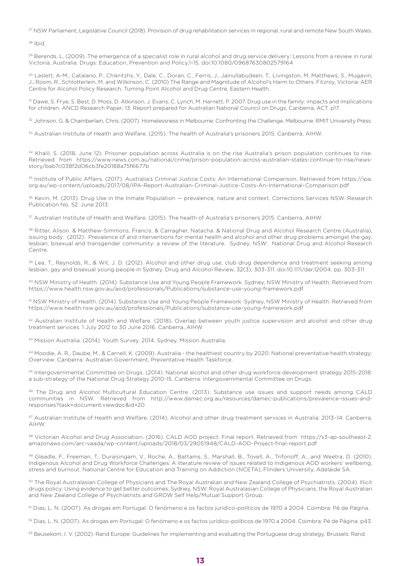27 NSW Parliament, Legislative Council (2018). Provision of drug rehabilitation services in regional, rural and remote New South Wales.

28 Ibid.

<sup>29</sup> Berends, L. (2009). The emergence of a specialist role in rural alcohol and drug service delivery: Lessons from a review in rural Victoria, Australia. Drugs: Education, Prevention and Policy,1-15. doi:10.1080/09687630802579164

30 Laslett, A-M., Catalano, P., Chikritzhs, Y., Dale, C., Doran, C., Ferris, J., Jainullabudeen, T., Livingston, M, Matthews, S., Mugavin, J., Room, R., Schlotterlein, M. and Wilkinson, C. (2010) The Range and Magnitude of Alcohol's Harm to Others. Fitzroy, Victoria: AER Centre for Alcohol Policy Research, Turning Point Alcohol and Drug Centre, Eastern Health.

31 Dawe, S. Frye, S. Best, D. Moss, D. Atkinson, J. Evans, C. Lynch, M. Harnett, P. 2007. Drug use in the family: impacts and implications for children. ANCD Research Paper; 13. Report prepared for Australian National Council on Drugs. Canberra, ACT. p17.

32 Johnson, G. & Chamberlain, Chris. (2007). Homelessness in Melbourne: Confronting the Challenge. Melbourne: RMIT University Press.

33 Australian Institute of Health and Welfare. (2015). The health of Australia's prisoners 2015. Canberra, AIHW.

<sup>34</sup> Khalil, S. (2018, June 12). Prisoner population across Australia is on the rise Australia's prison population continues to rise. Retrieved from https://www.news.com.au/national/crime/prison-population-across-australian-states-continue-to-rise/newsstory/bab7c038f2d06cb3fe20188a75f6677b

35 Institute of Public Affairs. (2017). Australia's Criminal Justice Costs: An International Comparison. Retrieved from https://ipa. org.au/wp-content/uploads/2017/08/IPA-Report-Australian-Criminal-Justice-Costs-An-International-Comparison.pdf

36 Kevin, M. (2013). Drug Use in the Inmate Population — prevalence, nature and context, Corrections Services NSW. Research Publication No. 52. June 2013.

37 Australian Institute of Health and Welfare. (2015). The health of Australia's prisoners 2015. Canberra, AIHW.

38 Ritter, Alison. & Matthew-Simmons, Francis. & Carragher, Natacha. & National Drug and Alcohol Research Centre (Australia), issuing body. (2012). Prevalence of and interventions for mental health and alcohol and other drug problems amongst the gay, lesbian, bisexual and transgender community: a review of the literature. Sydney, NSW: National Drug and Alcohol Research Centre.

39 Lea, T., Reynolds, R., & Wit, J. D. (2012). Alcohol and other drug use, club drug dependence and treatment seeking among lesbian, gay and bisexual young people in Sydney. Drug and Alcohol Review, 32(3), 303-311. doi:10.1111/dar.12004. pp. 303-311

40 NSW Ministry of Health. (2014). Substance Use and Young People Framework. Sydney, NSW Ministry of Health. Retrieved from https://www.health.nsw.gov.au/aod/professionals/Publications/substance-use-young-framework.pdf

41 NSW Ministry of Health. (2014). Substance Use and Young People Framework. Sydney, NSW Ministry of Health. Retrieved from https://www.health.nsw.gov.au/aod/professionals/Publications/substance-use-young-framework.pdf

<sup>42</sup> Australian Institute of Health and Welfare. (2018). Overlap between youth justice supervision and alcohol and other drug treatment services: 1 July 2012 to 30 June 2016. Canberra, AIHW

43 Mission Australia. (2014). Youth Survey, 2014. Sydney, Mission Australia.

44 Moodie, A. R., Daube, M., & Carnell, K. (2009). Australia - the healthiest country by 2020: National preventative health strategy: Overview. Canberra: Australian Government, Preventative Health Taskforce.

45 Intergovernmental Committee on Drugs. (2014). National alcohol and other drug workforce development strategy 2015-2018: a sub-strategy of the National Drug Strategy 2010-15. Canberra: Intergovernmental Committee on Drugs.

46 The Drug and Alcohol Multicultural Education Centre. (2013). Substance use issues and support needs among CALD communities in NSW. Retrieved from http://www.damec.org.au/resources/damec-publications/prevalence-issues-andresponses?task=document.viewdoc&id=20

47 Australian Institute of Health and Welfare. (2014). Alcohol and other drug treatment services in Australia: 2013–14. Canberra, AIHW.

48 Victorian Alcohol and Drug Association. (2016). CALD AOD project: Final report. Retrieved from https://s3-ap-southeast-2. amazonaws.com/arc-vaada/wp-content/uploads/2018/03/29051948/CALD-AOD-Project-final-report.pdf

49 Gleadle, F., Freeman, T., Duraisingam, V., Roche, A., Battams, S., Marshall, B., Tovell, A., Trifonoff, A., and Weetra, D. (2010). Indigenous Alcohol and Drug Workforce Challenges: A literature review of issues related to Indigenous AOD workers' wellbeing, stress and burnout. National Centre for Education and Training on Addiction (NCETA), Flinders University, Adelaide SA.

<sup>50</sup> The Royal Australasian College of Physicians and The Royal Australian and New Zealand College of Psychiatrists. (2004). Illicit drugs policy: Using evidence to get better outcomes. Sydney, NSW: Royal Australasian College of Physicians, the Royal Australian and New Zealand College of Psychiatrists and GROW Self Help/Mutual Support Group.

51 Dias, L. N. (2007). As drogas em Portugal: O fenómeno e os factos jurídico-políticos de 1970 a 2004. Coimbra: Pé de Página.

52 Dias, L. N. (2007). As drogas em Portugal: O fenómeno e os factos jurídico-políticos de 1970 a 2004. Coimbra: Pé de Página. p43.

53 Beusekom, I. V. (2002). Rand Europe: Guidelines for implementing and evaluating the Portuguese drug strategy. Brussels: Rand.